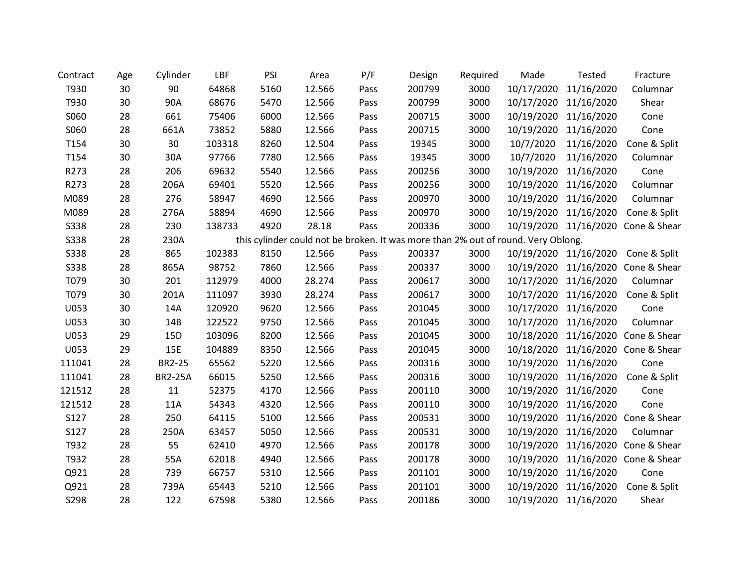| Contract    | Age | Cylinder       | LBF    | PSI  | Area   | P/F  | Design                                                                            | Required | Made       | <b>Tested</b>         | Fracture                           |
|-------------|-----|----------------|--------|------|--------|------|-----------------------------------------------------------------------------------|----------|------------|-----------------------|------------------------------------|
| T930        | 30  | 90             | 64868  | 5160 | 12.566 | Pass | 200799                                                                            | 3000     | 10/17/2020 | 11/16/2020            | Columnar                           |
| T930        | 30  | 90A            | 68676  | 5470 | 12.566 | Pass | 200799                                                                            | 3000     | 10/17/2020 | 11/16/2020            | Shear                              |
| S060        | 28  | 661            | 75406  | 6000 | 12.566 | Pass | 200715                                                                            | 3000     | 10/19/2020 | 11/16/2020            | Cone                               |
| S060        | 28  | 661A           | 73852  | 5880 | 12.566 | Pass | 200715                                                                            | 3000     | 10/19/2020 | 11/16/2020            | Cone                               |
| T154        | 30  | 30             | 103318 | 8260 | 12.504 | Pass | 19345                                                                             | 3000     | 10/7/2020  | 11/16/2020            | Cone & Split                       |
| T154        | 30  | 30A            | 97766  | 7780 | 12.566 | Pass | 19345                                                                             | 3000     | 10/7/2020  | 11/16/2020            | Columnar                           |
| R273        | 28  | 206            | 69632  | 5540 | 12.566 | Pass | 200256                                                                            | 3000     | 10/19/2020 | 11/16/2020            | Cone                               |
| R273        | 28  | 206A           | 69401  | 5520 | 12.566 | Pass | 200256                                                                            | 3000     | 10/19/2020 | 11/16/2020            | Columnar                           |
| M089        | 28  | 276            | 58947  | 4690 | 12.566 | Pass | 200970                                                                            | 3000     | 10/19/2020 | 11/16/2020            | Columnar                           |
| M089        | 28  | 276A           | 58894  | 4690 | 12.566 | Pass | 200970                                                                            | 3000     | 10/19/2020 | 11/16/2020            | Cone & Split                       |
| <b>S338</b> | 28  | 230            | 138733 | 4920 | 28.18  | Pass | 200336                                                                            | 3000     |            |                       | 10/19/2020 11/16/2020 Cone & Shear |
| <b>S338</b> | 28  | 230A           |        |      |        |      | this cylinder could not be broken. It was more than 2% out of round. Very Oblong. |          |            |                       |                                    |
| <b>S338</b> | 28  | 865            | 102383 | 8150 | 12.566 | Pass | 200337                                                                            | 3000     |            | 10/19/2020 11/16/2020 | Cone & Split                       |
| <b>S338</b> | 28  | 865A           | 98752  | 7860 | 12.566 | Pass | 200337                                                                            | 3000     | 10/19/2020 | 11/16/2020            | Cone & Shear                       |
| T079        | 30  | 201            | 112979 | 4000 | 28.274 | Pass | 200617                                                                            | 3000     | 10/17/2020 | 11/16/2020            | Columnar                           |
| T079        | 30  | 201A           | 111097 | 3930 | 28.274 | Pass | 200617                                                                            | 3000     | 10/17/2020 | 11/16/2020            | Cone & Split                       |
| U053        | 30  | 14A            | 120920 | 9620 | 12.566 | Pass | 201045                                                                            | 3000     | 10/17/2020 | 11/16/2020            | Cone                               |
| U053        | 30  | 14B            | 122522 | 9750 | 12.566 | Pass | 201045                                                                            | 3000     | 10/17/2020 | 11/16/2020            | Columnar                           |
| U053        | 29  | 15D            | 103096 | 8200 | 12.566 | Pass | 201045                                                                            | 3000     | 10/18/2020 |                       | 11/16/2020 Cone & Shear            |
| U053        | 29  | 15E            | 104889 | 8350 | 12.566 | Pass | 201045                                                                            | 3000     | 10/18/2020 |                       | 11/16/2020 Cone & Shear            |
| 111041      | 28  | BR2-25         | 65562  | 5220 | 12.566 | Pass | 200316                                                                            | 3000     | 10/19/2020 | 11/16/2020            | Cone                               |
| 111041      | 28  | <b>BR2-25A</b> | 66015  | 5250 | 12.566 | Pass | 200316                                                                            | 3000     | 10/19/2020 | 11/16/2020            | Cone & Split                       |
| 121512      | 28  | 11             | 52375  | 4170 | 12.566 | Pass | 200110                                                                            | 3000     | 10/19/2020 | 11/16/2020            | Cone                               |
| 121512      | 28  | 11A            | 54343  | 4320 | 12.566 | Pass | 200110                                                                            | 3000     | 10/19/2020 | 11/16/2020            | Cone                               |
| S127        | 28  | 250            | 64115  | 5100 | 12.566 | Pass | 200531                                                                            | 3000     | 10/19/2020 | 11/16/2020            | Cone & Shear                       |
| S127        | 28  | 250A           | 63457  | 5050 | 12.566 | Pass | 200531                                                                            | 3000     | 10/19/2020 | 11/16/2020            | Columnar                           |
| T932        | 28  | 55             | 62410  | 4970 | 12.566 | Pass | 200178                                                                            | 3000     | 10/19/2020 | 11/16/2020            | Cone & Shear                       |
| T932        | 28  | 55A            | 62018  | 4940 | 12.566 | Pass | 200178                                                                            | 3000     | 10/19/2020 |                       | 11/16/2020 Cone & Shear            |
| Q921        | 28  | 739            | 66757  | 5310 | 12.566 | Pass | 201101                                                                            | 3000     | 10/19/2020 | 11/16/2020            | Cone                               |
| Q921        | 28  | 739A           | 65443  | 5210 | 12.566 | Pass | 201101                                                                            | 3000     | 10/19/2020 | 11/16/2020            | Cone & Split                       |
| S298        | 28  | 122            | 67598  | 5380 | 12.566 | Pass | 200186                                                                            | 3000     |            | 10/19/2020 11/16/2020 | Shear                              |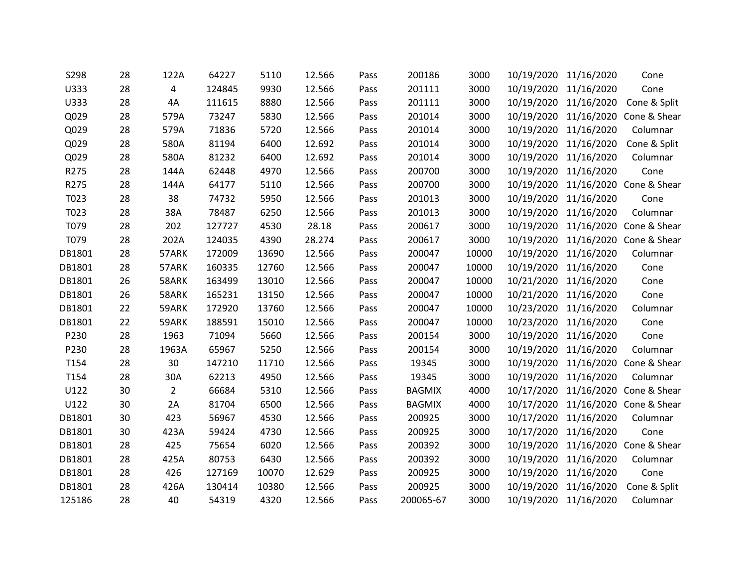| S298   | 28 | 122A           | 64227  | 5110  | 12.566 | Pass | 200186        | 3000  | 10/19/2020 11/16/2020 |            | Cone                               |
|--------|----|----------------|--------|-------|--------|------|---------------|-------|-----------------------|------------|------------------------------------|
| U333   | 28 | 4              | 124845 | 9930  | 12.566 | Pass | 201111        | 3000  | 10/19/2020            | 11/16/2020 | Cone                               |
| U333   | 28 | 4A             | 111615 | 8880  | 12.566 | Pass | 201111        | 3000  | 10/19/2020 11/16/2020 |            | Cone & Split                       |
| Q029   | 28 | 579A           | 73247  | 5830  | 12.566 | Pass | 201014        | 3000  | 10/19/2020            |            | 11/16/2020 Cone & Shear            |
| Q029   | 28 | 579A           | 71836  | 5720  | 12.566 | Pass | 201014        | 3000  | 10/19/2020            | 11/16/2020 | Columnar                           |
| Q029   | 28 | 580A           | 81194  | 6400  | 12.692 | Pass | 201014        | 3000  | 10/19/2020            | 11/16/2020 | Cone & Split                       |
| Q029   | 28 | 580A           | 81232  | 6400  | 12.692 | Pass | 201014        | 3000  | 10/19/2020            | 11/16/2020 | Columnar                           |
| R275   | 28 | 144A           | 62448  | 4970  | 12.566 | Pass | 200700        | 3000  | 10/19/2020            | 11/16/2020 | Cone                               |
| R275   | 28 | 144A           | 64177  | 5110  | 12.566 | Pass | 200700        | 3000  |                       |            | 10/19/2020 11/16/2020 Cone & Shear |
| T023   | 28 | 38             | 74732  | 5950  | 12.566 | Pass | 201013        | 3000  | 10/19/2020            | 11/16/2020 | Cone                               |
| T023   | 28 | 38A            | 78487  | 6250  | 12.566 | Pass | 201013        | 3000  | 10/19/2020            | 11/16/2020 | Columnar                           |
| T079   | 28 | 202            | 127727 | 4530  | 28.18  | Pass | 200617        | 3000  | 10/19/2020            |            | 11/16/2020 Cone & Shear            |
| T079   | 28 | 202A           | 124035 | 4390  | 28.274 | Pass | 200617        | 3000  | 10/19/2020            |            | 11/16/2020 Cone & Shear            |
| DB1801 | 28 | 57ARK          | 172009 | 13690 | 12.566 | Pass | 200047        | 10000 | 10/19/2020 11/16/2020 |            | Columnar                           |
| DB1801 | 28 | 57ARK          | 160335 | 12760 | 12.566 | Pass | 200047        | 10000 | 10/19/2020 11/16/2020 |            | Cone                               |
| DB1801 | 26 | 58ARK          | 163499 | 13010 | 12.566 | Pass | 200047        | 10000 | 10/21/2020            | 11/16/2020 | Cone                               |
| DB1801 | 26 | 58ARK          | 165231 | 13150 | 12.566 | Pass | 200047        | 10000 | 10/21/2020            | 11/16/2020 | Cone                               |
| DB1801 | 22 | 59ARK          | 172920 | 13760 | 12.566 | Pass | 200047        | 10000 | 10/23/2020 11/16/2020 |            | Columnar                           |
| DB1801 | 22 | 59ARK          | 188591 | 15010 | 12.566 | Pass | 200047        | 10000 | 10/23/2020            | 11/16/2020 | Cone                               |
| P230   | 28 | 1963           | 71094  | 5660  | 12.566 | Pass | 200154        | 3000  | 10/19/2020            | 11/16/2020 | Cone                               |
| P230   | 28 | 1963A          | 65967  | 5250  | 12.566 | Pass | 200154        | 3000  | 10/19/2020 11/16/2020 |            | Columnar                           |
| T154   | 28 | 30             | 147210 | 11710 | 12.566 | Pass | 19345         | 3000  | 10/19/2020            | 11/16/2020 | Cone & Shear                       |
| T154   | 28 | 30A            | 62213  | 4950  | 12.566 | Pass | 19345         | 3000  | 10/19/2020            | 11/16/2020 | Columnar                           |
| U122   | 30 | $\overline{2}$ | 66684  | 5310  | 12.566 | Pass | <b>BAGMIX</b> | 4000  |                       |            | 10/17/2020 11/16/2020 Cone & Shear |
| U122   | 30 | 2A             | 81704  | 6500  | 12.566 | Pass | <b>BAGMIX</b> | 4000  | 10/17/2020            |            | 11/16/2020 Cone & Shear            |
| DB1801 | 30 | 423            | 56967  | 4530  | 12.566 | Pass | 200925        | 3000  | 10/17/2020 11/16/2020 |            | Columnar                           |
| DB1801 | 30 | 423A           | 59424  | 4730  | 12.566 | Pass | 200925        | 3000  | 10/17/2020            | 11/16/2020 | Cone                               |
| DB1801 | 28 | 425            | 75654  | 6020  | 12.566 | Pass | 200392        | 3000  | 10/19/2020            |            | 11/16/2020 Cone & Shear            |
| DB1801 | 28 | 425A           | 80753  | 6430  | 12.566 | Pass | 200392        | 3000  | 10/19/2020            | 11/16/2020 | Columnar                           |
| DB1801 | 28 | 426            | 127169 | 10070 | 12.629 | Pass | 200925        | 3000  | 10/19/2020 11/16/2020 |            | Cone                               |
| DB1801 | 28 | 426A           | 130414 | 10380 | 12.566 | Pass | 200925        | 3000  | 10/19/2020            | 11/16/2020 | Cone & Split                       |
| 125186 | 28 | 40             | 54319  | 4320  | 12.566 | Pass | 200065-67     | 3000  | 10/19/2020 11/16/2020 |            | Columnar                           |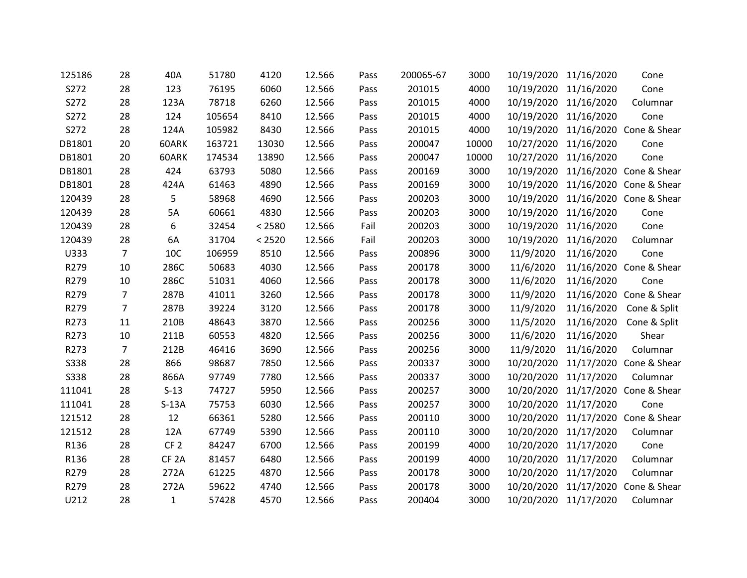| 125186      | 28             | 40A              | 51780  | 4120   | 12.566 | Pass | 200065-67 | 3000  |                       | 10/19/2020 11/16/2020 | Cone                               |
|-------------|----------------|------------------|--------|--------|--------|------|-----------|-------|-----------------------|-----------------------|------------------------------------|
| S272        | 28             | 123              | 76195  | 6060   | 12.566 | Pass | 201015    | 4000  | 10/19/2020 11/16/2020 |                       | Cone                               |
| S272        | 28             | 123A             | 78718  | 6260   | 12.566 | Pass | 201015    | 4000  | 10/19/2020 11/16/2020 |                       | Columnar                           |
| S272        | 28             | 124              | 105654 | 8410   | 12.566 | Pass | 201015    | 4000  | 10/19/2020 11/16/2020 |                       | Cone                               |
| S272        | 28             | 124A             | 105982 | 8430   | 12.566 | Pass | 201015    | 4000  | 10/19/2020            |                       | 11/16/2020 Cone & Shear            |
| DB1801      | 20             | 60ARK            | 163721 | 13030  | 12.566 | Pass | 200047    | 10000 | 10/27/2020            | 11/16/2020            | Cone                               |
| DB1801      | 20             | 60ARK            | 174534 | 13890  | 12.566 | Pass | 200047    | 10000 | 10/27/2020 11/16/2020 |                       | Cone                               |
| DB1801      | 28             | 424              | 63793  | 5080   | 12.566 | Pass | 200169    | 3000  | 10/19/2020            |                       | 11/16/2020 Cone & Shear            |
| DB1801      | 28             | 424A             | 61463  | 4890   | 12.566 | Pass | 200169    | 3000  |                       |                       | 10/19/2020 11/16/2020 Cone & Shear |
| 120439      | 28             | 5                | 58968  | 4690   | 12.566 | Pass | 200203    | 3000  | 10/19/2020            |                       | 11/16/2020 Cone & Shear            |
| 120439      | 28             | 5A               | 60661  | 4830   | 12.566 | Pass | 200203    | 3000  | 10/19/2020            | 11/16/2020            | Cone                               |
| 120439      | 28             | 6                | 32454  | < 2580 | 12.566 | Fail | 200203    | 3000  | 10/19/2020            | 11/16/2020            | Cone                               |
| 120439      | 28             | 6A               | 31704  | < 2520 | 12.566 | Fail | 200203    | 3000  | 10/19/2020            | 11/16/2020            | Columnar                           |
| U333        | $\overline{7}$ | 10C              | 106959 | 8510   | 12.566 | Pass | 200896    | 3000  | 11/9/2020             | 11/16/2020            | Cone                               |
| R279        | 10             | 286C             | 50683  | 4030   | 12.566 | Pass | 200178    | 3000  | 11/6/2020             |                       | 11/16/2020 Cone & Shear            |
| R279        | 10             | 286C             | 51031  | 4060   | 12.566 | Pass | 200178    | 3000  | 11/6/2020             | 11/16/2020            | Cone                               |
| R279        | $\overline{7}$ | 287B             | 41011  | 3260   | 12.566 | Pass | 200178    | 3000  | 11/9/2020             |                       | 11/16/2020 Cone & Shear            |
| R279        | $\overline{7}$ | 287B             | 39224  | 3120   | 12.566 | Pass | 200178    | 3000  | 11/9/2020             | 11/16/2020            | Cone & Split                       |
| R273        | 11             | 210B             | 48643  | 3870   | 12.566 | Pass | 200256    | 3000  | 11/5/2020             | 11/16/2020            | Cone & Split                       |
| R273        | 10             | 211B             | 60553  | 4820   | 12.566 | Pass | 200256    | 3000  | 11/6/2020             | 11/16/2020            | Shear                              |
| R273        | $\overline{7}$ | 212B             | 46416  | 3690   | 12.566 | Pass | 200256    | 3000  | 11/9/2020             | 11/16/2020            | Columnar                           |
| <b>S338</b> | 28             | 866              | 98687  | 7850   | 12.566 | Pass | 200337    | 3000  | 10/20/2020            | 11/17/2020            | Cone & Shear                       |
| <b>S338</b> | 28             | 866A             | 97749  | 7780   | 12.566 | Pass | 200337    | 3000  | 10/20/2020            | 11/17/2020            | Columnar                           |
| 111041      | 28             | $S-13$           | 74727  | 5950   | 12.566 | Pass | 200257    | 3000  |                       |                       | 10/20/2020 11/17/2020 Cone & Shear |
| 111041      | 28             | $S-13A$          | 75753  | 6030   | 12.566 | Pass | 200257    | 3000  | 10/20/2020            | 11/17/2020            | Cone                               |
| 121512      | 28             | 12               | 66361  | 5280   | 12.566 | Pass | 200110    | 3000  |                       |                       | 10/20/2020 11/17/2020 Cone & Shear |
| 121512      | 28             | 12A              | 67749  | 5390   | 12.566 | Pass | 200110    | 3000  | 10/20/2020            | 11/17/2020            | Columnar                           |
| R136        | 28             | CF <sub>2</sub>  | 84247  | 6700   | 12.566 | Pass | 200199    | 4000  | 10/20/2020            | 11/17/2020            | Cone                               |
| R136        | 28             | CF <sub>2A</sub> | 81457  | 6480   | 12.566 | Pass | 200199    | 4000  | 10/20/2020            | 11/17/2020            | Columnar                           |
| R279        | 28             | 272A             | 61225  | 4870   | 12.566 | Pass | 200178    | 3000  | 10/20/2020            | 11/17/2020            | Columnar                           |
| R279        | 28             | 272A             | 59622  | 4740   | 12.566 | Pass | 200178    | 3000  | 10/20/2020            |                       | 11/17/2020 Cone & Shear            |
| U212        | 28             | $\mathbf{1}$     | 57428  | 4570   | 12.566 | Pass | 200404    | 3000  |                       | 10/20/2020 11/17/2020 | Columnar                           |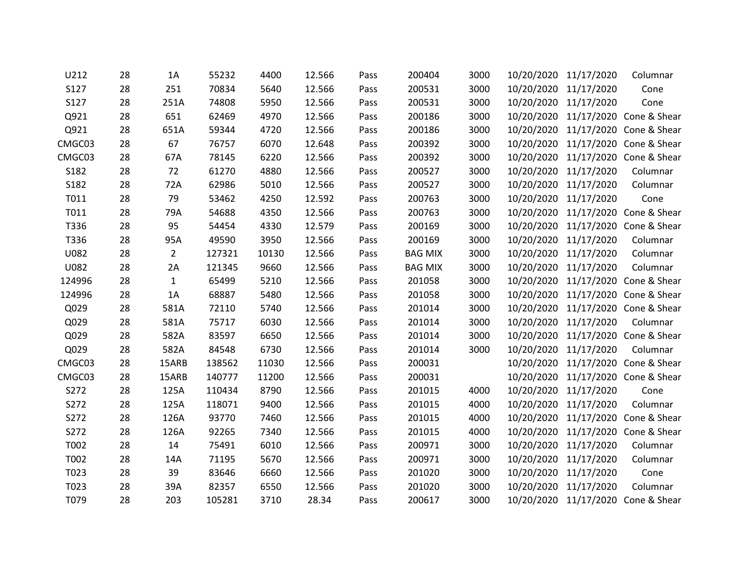| U212   | 28 | 1A             | 55232  | 4400  | 12.566 | Pass | 200404         | 3000 |                       | 10/20/2020 11/17/2020 | Columnar                           |
|--------|----|----------------|--------|-------|--------|------|----------------|------|-----------------------|-----------------------|------------------------------------|
| S127   | 28 | 251            | 70834  | 5640  | 12.566 | Pass | 200531         | 3000 | 10/20/2020            | 11/17/2020            | Cone                               |
| S127   | 28 | 251A           | 74808  | 5950  | 12.566 | Pass | 200531         | 3000 |                       | 10/20/2020 11/17/2020 | Cone                               |
| Q921   | 28 | 651            | 62469  | 4970  | 12.566 | Pass | 200186         | 3000 | 10/20/2020            |                       | 11/17/2020 Cone & Shear            |
| Q921   | 28 | 651A           | 59344  | 4720  | 12.566 | Pass | 200186         | 3000 | 10/20/2020            |                       | 11/17/2020 Cone & Shear            |
| CMGC03 | 28 | 67             | 76757  | 6070  | 12.648 | Pass | 200392         | 3000 | 10/20/2020            |                       | 11/17/2020 Cone & Shear            |
| CMGC03 | 28 | 67A            | 78145  | 6220  | 12.566 | Pass | 200392         | 3000 |                       |                       | 10/20/2020 11/17/2020 Cone & Shear |
| S182   | 28 | 72             | 61270  | 4880  | 12.566 | Pass | 200527         | 3000 | 10/20/2020            | 11/17/2020            | Columnar                           |
| S182   | 28 | 72A            | 62986  | 5010  | 12.566 | Pass | 200527         | 3000 |                       | 10/20/2020 11/17/2020 | Columnar                           |
| T011   | 28 | 79             | 53462  | 4250  | 12.592 | Pass | 200763         | 3000 | 10/20/2020            | 11/17/2020            | Cone                               |
| T011   | 28 | 79A            | 54688  | 4350  | 12.566 | Pass | 200763         | 3000 | 10/20/2020            |                       | 11/17/2020 Cone & Shear            |
| T336   | 28 | 95             | 54454  | 4330  | 12.579 | Pass | 200169         | 3000 | 10/20/2020            |                       | 11/17/2020 Cone & Shear            |
| T336   | 28 | 95A            | 49590  | 3950  | 12.566 | Pass | 200169         | 3000 | 10/20/2020            | 11/17/2020            | Columnar                           |
| U082   | 28 | $\overline{2}$ | 127321 | 10130 | 12.566 | Pass | <b>BAG MIX</b> | 3000 |                       | 10/20/2020 11/17/2020 | Columnar                           |
| U082   | 28 | 2A             | 121345 | 9660  | 12.566 | Pass | <b>BAG MIX</b> | 3000 |                       | 10/20/2020 11/17/2020 | Columnar                           |
| 124996 | 28 | $\mathbf{1}$   | 65499  | 5210  | 12.566 | Pass | 201058         | 3000 | 10/20/2020            |                       | 11/17/2020 Cone & Shear            |
| 124996 | 28 | 1A             | 68887  | 5480  | 12.566 | Pass | 201058         | 3000 | 10/20/2020            |                       | 11/17/2020 Cone & Shear            |
| Q029   | 28 | 581A           | 72110  | 5740  | 12.566 | Pass | 201014         | 3000 |                       |                       | 10/20/2020 11/17/2020 Cone & Shear |
| Q029   | 28 | 581A           | 75717  | 6030  | 12.566 | Pass | 201014         | 3000 | 10/20/2020            | 11/17/2020            | Columnar                           |
| Q029   | 28 | 582A           | 83597  | 6650  | 12.566 | Pass | 201014         | 3000 |                       |                       | 10/20/2020 11/17/2020 Cone & Shear |
| Q029   | 28 | 582A           | 84548  | 6730  | 12.566 | Pass | 201014         | 3000 |                       | 10/20/2020 11/17/2020 | Columnar                           |
| CMGC03 | 28 | 15ARB          | 138562 | 11030 | 12.566 | Pass | 200031         |      | 10/20/2020            |                       | 11/17/2020 Cone & Shear            |
| CMGC03 | 28 | 15ARB          | 140777 | 11200 | 12.566 | Pass | 200031         |      | 10/20/2020            |                       | 11/17/2020 Cone & Shear            |
| S272   | 28 | 125A           | 110434 | 8790  | 12.566 | Pass | 201015         | 4000 |                       | 10/20/2020 11/17/2020 | Cone                               |
| S272   | 28 | 125A           | 118071 | 9400  | 12.566 | Pass | 201015         | 4000 | 10/20/2020            | 11/17/2020            | Columnar                           |
| S272   | 28 | 126A           | 93770  | 7460  | 12.566 | Pass | 201015         | 4000 |                       |                       | 10/20/2020 11/17/2020 Cone & Shear |
| S272   | 28 | 126A           | 92265  | 7340  | 12.566 | Pass | 201015         | 4000 | 10/20/2020            |                       | 11/17/2020 Cone & Shear            |
| T002   | 28 | 14             | 75491  | 6010  | 12.566 | Pass | 200971         | 3000 | 10/20/2020            | 11/17/2020            | Columnar                           |
| T002   | 28 | 14A            | 71195  | 5670  | 12.566 | Pass | 200971         | 3000 | 10/20/2020            | 11/17/2020            | Columnar                           |
| T023   | 28 | 39             | 83646  | 6660  | 12.566 | Pass | 201020         | 3000 | 10/20/2020 11/17/2020 |                       | Cone                               |
| T023   | 28 | 39A            | 82357  | 6550  | 12.566 | Pass | 201020         | 3000 | 10/20/2020            | 11/17/2020            | Columnar                           |
| T079   | 28 | 203            | 105281 | 3710  | 28.34  | Pass | 200617         | 3000 |                       |                       | 10/20/2020 11/17/2020 Cone & Shear |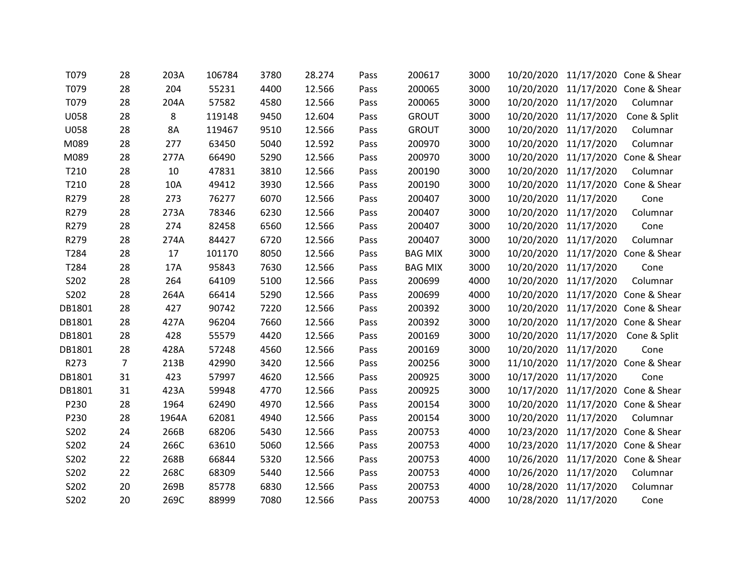| T079        | 28             | 203A      | 106784 | 3780 | 28.274 | Pass | 200617         | 3000 |                       |                       | 10/20/2020 11/17/2020 Cone & Shear |
|-------------|----------------|-----------|--------|------|--------|------|----------------|------|-----------------------|-----------------------|------------------------------------|
| T079        | 28             | 204       | 55231  | 4400 | 12.566 | Pass | 200065         | 3000 |                       |                       | 10/20/2020 11/17/2020 Cone & Shear |
| T079        | 28             | 204A      | 57582  | 4580 | 12.566 | Pass | 200065         | 3000 |                       | 10/20/2020 11/17/2020 | Columnar                           |
| <b>U058</b> | 28             | 8         | 119148 | 9450 | 12.604 | Pass | <b>GROUT</b>   | 3000 |                       | 10/20/2020 11/17/2020 | Cone & Split                       |
| <b>U058</b> | 28             | <b>8A</b> | 119467 | 9510 | 12.566 | Pass | <b>GROUT</b>   | 3000 | 10/20/2020            | 11/17/2020            | Columnar                           |
| M089        | 28             | 277       | 63450  | 5040 | 12.592 | Pass | 200970         | 3000 |                       | 10/20/2020 11/17/2020 | Columnar                           |
| M089        | 28             | 277A      | 66490  | 5290 | 12.566 | Pass | 200970         | 3000 |                       | 10/20/2020 11/17/2020 | Cone & Shear                       |
| T210        | 28             | 10        | 47831  | 3810 | 12.566 | Pass | 200190         | 3000 | 10/20/2020 11/17/2020 |                       | Columnar                           |
| T210        | 28             | 10A       | 49412  | 3930 | 12.566 | Pass | 200190         | 3000 |                       |                       | 10/20/2020 11/17/2020 Cone & Shear |
| R279        | 28             | 273       | 76277  | 6070 | 12.566 | Pass | 200407         | 3000 | 10/20/2020            | 11/17/2020            | Cone                               |
| R279        | 28             | 273A      | 78346  | 6230 | 12.566 | Pass | 200407         | 3000 | 10/20/2020            | 11/17/2020            | Columnar                           |
| R279        | 28             | 274       | 82458  | 6560 | 12.566 | Pass | 200407         | 3000 |                       | 10/20/2020 11/17/2020 | Cone                               |
| R279        | 28             | 274A      | 84427  | 6720 | 12.566 | Pass | 200407         | 3000 | 10/20/2020            | 11/17/2020            | Columnar                           |
| T284        | 28             | 17        | 101170 | 8050 | 12.566 | Pass | <b>BAG MIX</b> | 3000 |                       |                       | 10/20/2020 11/17/2020 Cone & Shear |
| T284        | 28             | 17A       | 95843  | 7630 | 12.566 | Pass | <b>BAG MIX</b> | 3000 |                       | 10/20/2020 11/17/2020 | Cone                               |
| S202        | 28             | 264       | 64109  | 5100 | 12.566 | Pass | 200699         | 4000 | 10/20/2020            | 11/17/2020            | Columnar                           |
| S202        | 28             | 264A      | 66414  | 5290 | 12.566 | Pass | 200699         | 4000 |                       |                       | 10/20/2020 11/17/2020 Cone & Shear |
| DB1801      | 28             | 427       | 90742  | 7220 | 12.566 | Pass | 200392         | 3000 |                       |                       | 10/20/2020 11/17/2020 Cone & Shear |
| DB1801      | 28             | 427A      | 96204  | 7660 | 12.566 | Pass | 200392         | 3000 |                       |                       | 10/20/2020 11/17/2020 Cone & Shear |
| DB1801      | 28             | 428       | 55579  | 4420 | 12.566 | Pass | 200169         | 3000 |                       | 10/20/2020 11/17/2020 | Cone & Split                       |
| DB1801      | 28             | 428A      | 57248  | 4560 | 12.566 | Pass | 200169         | 3000 |                       | 10/20/2020 11/17/2020 | Cone                               |
| R273        | $\overline{7}$ | 213B      | 42990  | 3420 | 12.566 | Pass | 200256         | 3000 | 11/10/2020            |                       | 11/17/2020 Cone & Shear            |
| DB1801      | 31             | 423       | 57997  | 4620 | 12.566 | Pass | 200925         | 3000 | 10/17/2020 11/17/2020 |                       | Cone                               |
| DB1801      | 31             | 423A      | 59948  | 4770 | 12.566 | Pass | 200925         | 3000 |                       |                       | 10/17/2020 11/17/2020 Cone & Shear |
| P230        | 28             | 1964      | 62490  | 4970 | 12.566 | Pass | 200154         | 3000 |                       |                       | 10/20/2020 11/17/2020 Cone & Shear |
| P230        | 28             | 1964A     | 62081  | 4940 | 12.566 | Pass | 200154         | 3000 |                       | 10/20/2020 11/17/2020 | Columnar                           |
| S202        | 24             | 266B      | 68206  | 5430 | 12.566 | Pass | 200753         | 4000 |                       | 10/23/2020 11/17/2020 | Cone & Shear                       |
| S202        | 24             | 266C      | 63610  | 5060 | 12.566 | Pass | 200753         | 4000 | 10/23/2020            |                       | 11/17/2020 Cone & Shear            |
| S202        | 22             | 268B      | 66844  | 5320 | 12.566 | Pass | 200753         | 4000 |                       |                       | 10/26/2020 11/17/2020 Cone & Shear |
| S202        | 22             | 268C      | 68309  | 5440 | 12.566 | Pass | 200753         | 4000 |                       | 10/26/2020 11/17/2020 | Columnar                           |
| S202        | 20             | 269B      | 85778  | 6830 | 12.566 | Pass | 200753         | 4000 | 10/28/2020            | 11/17/2020            | Columnar                           |
| S202        | 20             | 269C      | 88999  | 7080 | 12.566 | Pass | 200753         | 4000 | 10/28/2020 11/17/2020 |                       | Cone                               |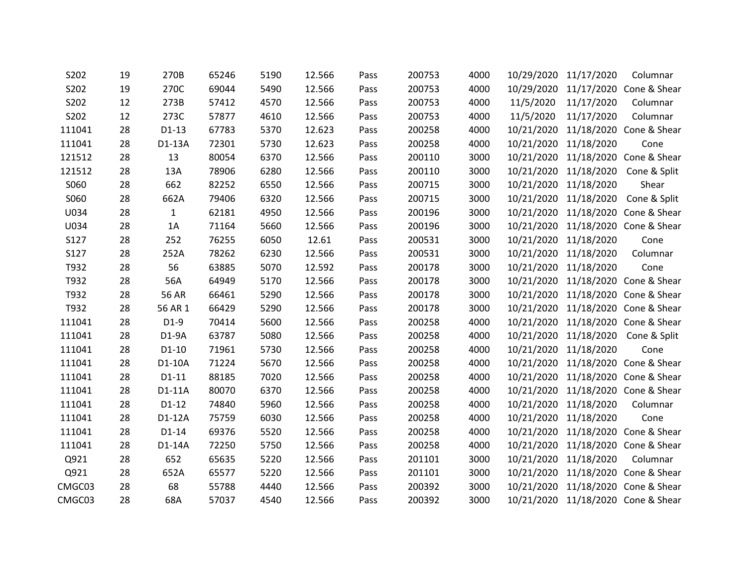| 19 | 270B         | 65246 | 5190 | 12.566 | Pass | 200753 | 4000 |            |            | Columnar                                                                                                                                                                                                                                                                                                                                                                                                                                                                                                                                                                                                       |
|----|--------------|-------|------|--------|------|--------|------|------------|------------|----------------------------------------------------------------------------------------------------------------------------------------------------------------------------------------------------------------------------------------------------------------------------------------------------------------------------------------------------------------------------------------------------------------------------------------------------------------------------------------------------------------------------------------------------------------------------------------------------------------|
| 19 | 270C         | 69044 | 5490 | 12.566 | Pass | 200753 | 4000 |            |            | 11/17/2020 Cone & Shear                                                                                                                                                                                                                                                                                                                                                                                                                                                                                                                                                                                        |
| 12 | 273B         | 57412 | 4570 | 12.566 | Pass | 200753 | 4000 |            | 11/17/2020 | Columnar                                                                                                                                                                                                                                                                                                                                                                                                                                                                                                                                                                                                       |
| 12 | 273C         | 57877 | 4610 | 12.566 | Pass | 200753 | 4000 | 11/5/2020  | 11/17/2020 | Columnar                                                                                                                                                                                                                                                                                                                                                                                                                                                                                                                                                                                                       |
| 28 | $D1-13$      | 67783 | 5370 | 12.623 | Pass | 200258 | 4000 | 10/21/2020 |            | 11/18/2020 Cone & Shear                                                                                                                                                                                                                                                                                                                                                                                                                                                                                                                                                                                        |
| 28 | D1-13A       | 72301 | 5730 | 12.623 | Pass | 200258 | 4000 | 10/21/2020 | 11/18/2020 | Cone                                                                                                                                                                                                                                                                                                                                                                                                                                                                                                                                                                                                           |
| 28 | 13           | 80054 | 6370 | 12.566 | Pass | 200110 | 3000 |            |            |                                                                                                                                                                                                                                                                                                                                                                                                                                                                                                                                                                                                                |
| 28 | 13A          | 78906 | 6280 | 12.566 | Pass | 200110 | 3000 |            | 11/18/2020 | Cone & Split                                                                                                                                                                                                                                                                                                                                                                                                                                                                                                                                                                                                   |
| 28 | 662          | 82252 | 6550 | 12.566 | Pass | 200715 | 3000 |            |            | Shear                                                                                                                                                                                                                                                                                                                                                                                                                                                                                                                                                                                                          |
| 28 | 662A         | 79406 | 6320 | 12.566 | Pass | 200715 | 3000 | 10/21/2020 | 11/18/2020 | Cone & Split                                                                                                                                                                                                                                                                                                                                                                                                                                                                                                                                                                                                   |
| 28 | $\mathbf{1}$ | 62181 | 4950 | 12.566 | Pass | 200196 | 3000 |            |            | 11/18/2020 Cone & Shear                                                                                                                                                                                                                                                                                                                                                                                                                                                                                                                                                                                        |
| 28 | 1A           | 71164 | 5660 | 12.566 | Pass | 200196 | 3000 |            |            |                                                                                                                                                                                                                                                                                                                                                                                                                                                                                                                                                                                                                |
| 28 | 252          | 76255 | 6050 | 12.61  | Pass | 200531 | 3000 |            | 11/18/2020 | Cone                                                                                                                                                                                                                                                                                                                                                                                                                                                                                                                                                                                                           |
| 28 | 252A         | 78262 | 6230 | 12.566 | Pass | 200531 | 3000 |            | 11/18/2020 | Columnar                                                                                                                                                                                                                                                                                                                                                                                                                                                                                                                                                                                                       |
| 28 | 56           | 63885 | 5070 | 12.592 | Pass | 200178 | 3000 |            |            | Cone                                                                                                                                                                                                                                                                                                                                                                                                                                                                                                                                                                                                           |
| 28 | 56A          | 64949 | 5170 | 12.566 | Pass | 200178 | 3000 | 10/21/2020 |            | 11/18/2020 Cone & Shear                                                                                                                                                                                                                                                                                                                                                                                                                                                                                                                                                                                        |
| 28 | <b>56 AR</b> | 66461 | 5290 | 12.566 | Pass | 200178 | 3000 |            |            | 11/18/2020 Cone & Shear                                                                                                                                                                                                                                                                                                                                                                                                                                                                                                                                                                                        |
| 28 | 56 AR 1      | 66429 | 5290 | 12.566 | Pass | 200178 | 3000 |            |            |                                                                                                                                                                                                                                                                                                                                                                                                                                                                                                                                                                                                                |
| 28 | $D1-9$       | 70414 | 5600 | 12.566 | Pass | 200258 | 4000 |            |            | 11/18/2020 Cone & Shear                                                                                                                                                                                                                                                                                                                                                                                                                                                                                                                                                                                        |
| 28 | $D1-9A$      | 63787 | 5080 | 12.566 | Pass | 200258 | 4000 |            |            | Cone & Split                                                                                                                                                                                                                                                                                                                                                                                                                                                                                                                                                                                                   |
| 28 | $D1-10$      | 71961 | 5730 | 12.566 | Pass | 200258 | 4000 |            |            | Cone                                                                                                                                                                                                                                                                                                                                                                                                                                                                                                                                                                                                           |
| 28 | D1-10A       | 71224 | 5670 | 12.566 | Pass | 200258 | 4000 | 10/21/2020 |            | 11/18/2020 Cone & Shear                                                                                                                                                                                                                                                                                                                                                                                                                                                                                                                                                                                        |
| 28 | $D1-11$      | 88185 | 7020 | 12.566 | Pass | 200258 | 4000 |            |            |                                                                                                                                                                                                                                                                                                                                                                                                                                                                                                                                                                                                                |
| 28 | D1-11A       | 80070 | 6370 | 12.566 | Pass | 200258 | 4000 |            |            |                                                                                                                                                                                                                                                                                                                                                                                                                                                                                                                                                                                                                |
| 28 | $D1-12$      | 74840 | 5960 | 12.566 | Pass | 200258 | 4000 |            | 11/18/2020 | Columnar                                                                                                                                                                                                                                                                                                                                                                                                                                                                                                                                                                                                       |
| 28 | D1-12A       | 75759 | 6030 | 12.566 | Pass | 200258 | 4000 |            |            | Cone                                                                                                                                                                                                                                                                                                                                                                                                                                                                                                                                                                                                           |
| 28 | $D1-14$      | 69376 | 5520 | 12.566 | Pass | 200258 | 4000 |            |            |                                                                                                                                                                                                                                                                                                                                                                                                                                                                                                                                                                                                                |
| 28 | D1-14A       | 72250 | 5750 | 12.566 | Pass | 200258 | 4000 | 10/21/2020 |            | 11/18/2020 Cone & Shear                                                                                                                                                                                                                                                                                                                                                                                                                                                                                                                                                                                        |
| 28 | 652          | 65635 | 5220 | 12.566 | Pass | 201101 | 3000 |            | 11/18/2020 | Columnar                                                                                                                                                                                                                                                                                                                                                                                                                                                                                                                                                                                                       |
| 28 | 652A         | 65577 | 5220 | 12.566 | Pass | 201101 | 3000 |            |            |                                                                                                                                                                                                                                                                                                                                                                                                                                                                                                                                                                                                                |
| 28 | 68           | 55788 | 4440 | 12.566 | Pass | 200392 | 3000 |            |            | 11/18/2020 Cone & Shear                                                                                                                                                                                                                                                                                                                                                                                                                                                                                                                                                                                        |
| 28 | 68A          | 57037 | 4540 | 12.566 | Pass | 200392 | 3000 |            |            |                                                                                                                                                                                                                                                                                                                                                                                                                                                                                                                                                                                                                |
|    |              |       |      |        |      |        |      |            | 11/5/2020  | 10/29/2020 11/17/2020<br>10/29/2020<br>10/21/2020 11/18/2020 Cone & Shear<br>10/21/2020<br>10/21/2020 11/18/2020<br>10/21/2020<br>10/21/2020 11/18/2020 Cone & Shear<br>10/21/2020<br>10/21/2020<br>10/21/2020 11/18/2020<br>10/21/2020<br>10/21/2020 11/18/2020 Cone & Shear<br>10/21/2020<br>10/21/2020 11/18/2020<br>10/21/2020 11/18/2020<br>10/21/2020 11/18/2020 Cone & Shear<br>10/21/2020 11/18/2020 Cone & Shear<br>10/21/2020<br>10/21/2020 11/18/2020<br>10/21/2020 11/18/2020 Cone & Shear<br>10/21/2020<br>10/21/2020 11/18/2020 Cone & Shear<br>10/21/2020<br>10/21/2020 11/18/2020 Cone & Shear |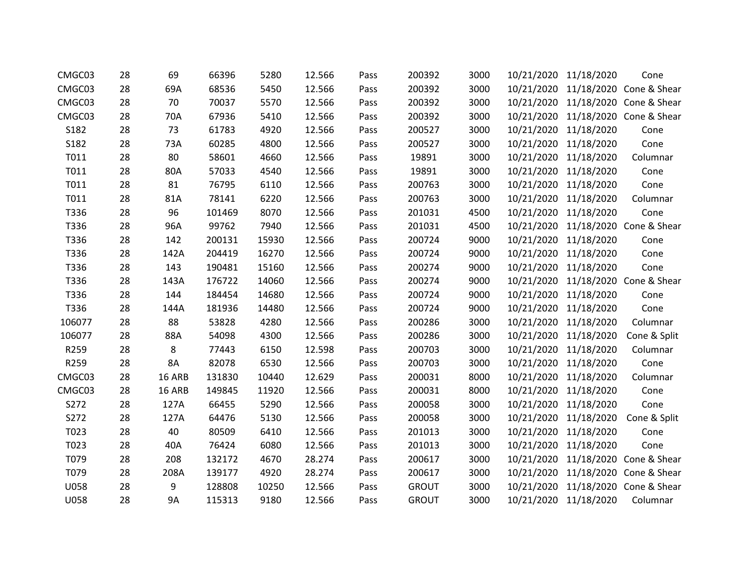| CMGC03      | 28 | 69        | 66396  | 5280  | 12.566 | Pass | 200392       | 3000 |            | 10/21/2020 11/18/2020 | Cone                               |
|-------------|----|-----------|--------|-------|--------|------|--------------|------|------------|-----------------------|------------------------------------|
| CMGC03      | 28 | 69A       | 68536  | 5450  | 12.566 | Pass | 200392       | 3000 |            |                       | 10/21/2020 11/18/2020 Cone & Shear |
| CMGC03      | 28 | 70        | 70037  | 5570  | 12.566 | Pass | 200392       | 3000 |            |                       | 10/21/2020 11/18/2020 Cone & Shear |
| CMGC03      | 28 | 70A       | 67936  | 5410  | 12.566 | Pass | 200392       | 3000 | 10/21/2020 |                       | 11/18/2020 Cone & Shear            |
| S182        | 28 | 73        | 61783  | 4920  | 12.566 | Pass | 200527       | 3000 | 10/21/2020 | 11/18/2020            | Cone                               |
| S182        | 28 | 73A       | 60285  | 4800  | 12.566 | Pass | 200527       | 3000 | 10/21/2020 | 11/18/2020            | Cone                               |
| T011        | 28 | 80        | 58601  | 4660  | 12.566 | Pass | 19891        | 3000 |            | 10/21/2020 11/18/2020 | Columnar                           |
| T011        | 28 | 80A       | 57033  | 4540  | 12.566 | Pass | 19891        | 3000 |            | 10/21/2020 11/18/2020 | Cone                               |
| T011        | 28 | 81        | 76795  | 6110  | 12.566 | Pass | 200763       | 3000 |            | 10/21/2020 11/18/2020 | Cone                               |
| T011        | 28 | 81A       | 78141  | 6220  | 12.566 | Pass | 200763       | 3000 | 10/21/2020 | 11/18/2020            | Columnar                           |
| T336        | 28 | 96        | 101469 | 8070  | 12.566 | Pass | 201031       | 4500 | 10/21/2020 | 11/18/2020            | Cone                               |
| T336        | 28 | 96A       | 99762  | 7940  | 12.566 | Pass | 201031       | 4500 |            |                       | 10/21/2020 11/18/2020 Cone & Shear |
| T336        | 28 | 142       | 200131 | 15930 | 12.566 | Pass | 200724       | 9000 | 10/21/2020 | 11/18/2020            | Cone                               |
| T336        | 28 | 142A      | 204419 | 16270 | 12.566 | Pass | 200724       | 9000 | 10/21/2020 | 11/18/2020            | Cone                               |
| T336        | 28 | 143       | 190481 | 15160 | 12.566 | Pass | 200274       | 9000 |            | 10/21/2020 11/18/2020 | Cone                               |
| T336        | 28 | 143A      | 176722 | 14060 | 12.566 | Pass | 200274       | 9000 | 10/21/2020 |                       | 11/18/2020 Cone & Shear            |
| T336        | 28 | 144       | 184454 | 14680 | 12.566 | Pass | 200724       | 9000 | 10/21/2020 | 11/18/2020            | Cone                               |
| T336        | 28 | 144A      | 181936 | 14480 | 12.566 | Pass | 200724       | 9000 |            | 10/21/2020 11/18/2020 | Cone                               |
| 106077      | 28 | 88        | 53828  | 4280  | 12.566 | Pass | 200286       | 3000 | 10/21/2020 | 11/18/2020            | Columnar                           |
| 106077      | 28 | 88A       | 54098  | 4300  | 12.566 | Pass | 200286       | 3000 |            | 10/21/2020 11/18/2020 | Cone & Split                       |
| R259        | 28 | 8         | 77443  | 6150  | 12.598 | Pass | 200703       | 3000 |            | 10/21/2020 11/18/2020 | Columnar                           |
| R259        | 28 | 8A        | 82078  | 6530  | 12.566 | Pass | 200703       | 3000 | 10/21/2020 | 11/18/2020            | Cone                               |
| CMGC03      | 28 | 16 ARB    | 131830 | 10440 | 12.629 | Pass | 200031       | 8000 | 10/21/2020 | 11/18/2020            | Columnar                           |
| CMGC03      | 28 | 16 ARB    | 149845 | 11920 | 12.566 | Pass | 200031       | 8000 |            | 10/21/2020 11/18/2020 | Cone                               |
| S272        | 28 | 127A      | 66455  | 5290  | 12.566 | Pass | 200058       | 3000 | 10/21/2020 | 11/18/2020            | Cone                               |
| S272        | 28 | 127A      | 64476  | 5130  | 12.566 | Pass | 200058       | 3000 |            | 10/21/2020 11/18/2020 | Cone & Split                       |
| T023        | 28 | 40        | 80509  | 6410  | 12.566 | Pass | 201013       | 3000 | 10/21/2020 | 11/18/2020            | Cone                               |
| T023        | 28 | 40A       | 76424  | 6080  | 12.566 | Pass | 201013       | 3000 | 10/21/2020 | 11/18/2020            | Cone                               |
| T079        | 28 | 208       | 132172 | 4670  | 28.274 | Pass | 200617       | 3000 | 10/21/2020 |                       | 11/18/2020 Cone & Shear            |
| T079        | 28 | 208A      | 139177 | 4920  | 28.274 | Pass | 200617       | 3000 | 10/21/2020 |                       | 11/18/2020 Cone & Shear            |
| U058        | 28 | 9         | 128808 | 10250 | 12.566 | Pass | <b>GROUT</b> | 3000 | 10/21/2020 |                       | 11/18/2020 Cone & Shear            |
| <b>U058</b> | 28 | <b>9A</b> | 115313 | 9180  | 12.566 | Pass | <b>GROUT</b> | 3000 |            | 10/21/2020 11/18/2020 | Columnar                           |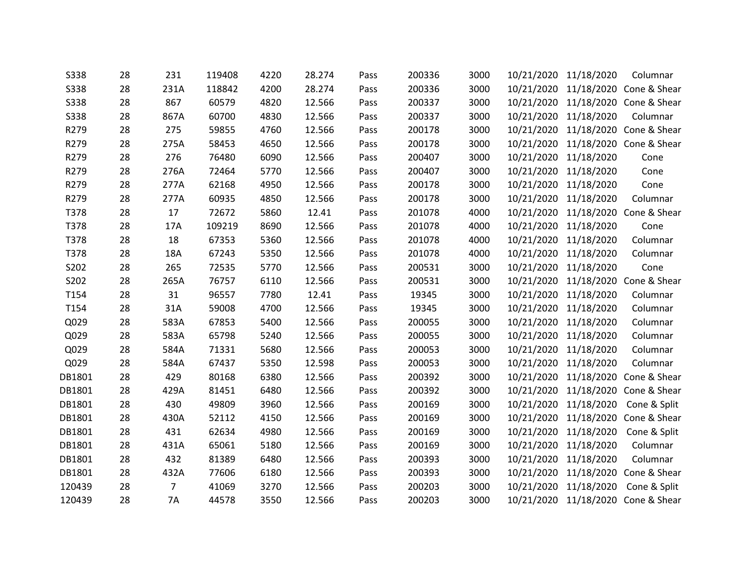| 28 | 231            | 119408 | 4220 | 28.274 | Pass | 200336 | 3000 |            |                                                      | Columnar                                                                                                                                                                                                                                                                                                                                                                                                                                                                                                                                   |
|----|----------------|--------|------|--------|------|--------|------|------------|------------------------------------------------------|--------------------------------------------------------------------------------------------------------------------------------------------------------------------------------------------------------------------------------------------------------------------------------------------------------------------------------------------------------------------------------------------------------------------------------------------------------------------------------------------------------------------------------------------|
| 28 | 231A           | 118842 | 4200 | 28.274 | Pass | 200336 | 3000 |            |                                                      | 11/18/2020 Cone & Shear                                                                                                                                                                                                                                                                                                                                                                                                                                                                                                                    |
| 28 | 867            | 60579  | 4820 | 12.566 | Pass | 200337 | 3000 |            |                                                      |                                                                                                                                                                                                                                                                                                                                                                                                                                                                                                                                            |
| 28 | 867A           | 60700  | 4830 | 12.566 | Pass | 200337 | 3000 |            | 11/18/2020                                           | Columnar                                                                                                                                                                                                                                                                                                                                                                                                                                                                                                                                   |
| 28 | 275            | 59855  | 4760 | 12.566 | Pass | 200178 | 3000 | 10/21/2020 |                                                      | 11/18/2020 Cone & Shear                                                                                                                                                                                                                                                                                                                                                                                                                                                                                                                    |
| 28 | 275A           | 58453  | 4650 | 12.566 | Pass | 200178 | 3000 |            |                                                      | 11/18/2020 Cone & Shear                                                                                                                                                                                                                                                                                                                                                                                                                                                                                                                    |
| 28 | 276            | 76480  | 6090 | 12.566 | Pass | 200407 | 3000 |            | 11/18/2020                                           | Cone                                                                                                                                                                                                                                                                                                                                                                                                                                                                                                                                       |
| 28 | 276A           | 72464  | 5770 | 12.566 | Pass | 200407 | 3000 |            | 11/18/2020                                           | Cone                                                                                                                                                                                                                                                                                                                                                                                                                                                                                                                                       |
| 28 | 277A           | 62168  | 4950 | 12.566 | Pass | 200178 | 3000 |            |                                                      | Cone                                                                                                                                                                                                                                                                                                                                                                                                                                                                                                                                       |
| 28 | 277A           | 60935  | 4850 | 12.566 | Pass | 200178 | 3000 |            | 11/18/2020                                           | Columnar                                                                                                                                                                                                                                                                                                                                                                                                                                                                                                                                   |
| 28 | 17             | 72672  | 5860 | 12.41  | Pass | 201078 | 4000 |            |                                                      | Cone & Shear                                                                                                                                                                                                                                                                                                                                                                                                                                                                                                                               |
| 28 | 17A            | 109219 | 8690 | 12.566 | Pass | 201078 | 4000 |            | 11/18/2020                                           | Cone                                                                                                                                                                                                                                                                                                                                                                                                                                                                                                                                       |
| 28 | 18             | 67353  | 5360 | 12.566 | Pass | 201078 | 4000 |            | 11/18/2020                                           | Columnar                                                                                                                                                                                                                                                                                                                                                                                                                                                                                                                                   |
| 28 | 18A            | 67243  | 5350 | 12.566 | Pass | 201078 | 4000 |            | 11/18/2020                                           | Columnar                                                                                                                                                                                                                                                                                                                                                                                                                                                                                                                                   |
| 28 | 265            | 72535  | 5770 | 12.566 | Pass | 200531 | 3000 |            |                                                      | Cone                                                                                                                                                                                                                                                                                                                                                                                                                                                                                                                                       |
| 28 | 265A           | 76757  | 6110 | 12.566 | Pass | 200531 | 3000 | 10/21/2020 | 11/18/2020                                           | Cone & Shear                                                                                                                                                                                                                                                                                                                                                                                                                                                                                                                               |
| 28 | 31             | 96557  | 7780 | 12.41  | Pass | 19345  | 3000 | 10/21/2020 | 11/18/2020                                           | Columnar                                                                                                                                                                                                                                                                                                                                                                                                                                                                                                                                   |
| 28 | 31A            | 59008  | 4700 | 12.566 | Pass | 19345  | 3000 |            |                                                      | Columnar                                                                                                                                                                                                                                                                                                                                                                                                                                                                                                                                   |
| 28 | 583A           | 67853  | 5400 | 12.566 | Pass | 200055 | 3000 |            | 11/18/2020                                           | Columnar                                                                                                                                                                                                                                                                                                                                                                                                                                                                                                                                   |
| 28 | 583A           | 65798  | 5240 | 12.566 | Pass | 200055 | 3000 |            |                                                      | Columnar                                                                                                                                                                                                                                                                                                                                                                                                                                                                                                                                   |
| 28 | 584A           | 71331  | 5680 | 12.566 | Pass | 200053 | 3000 |            |                                                      | Columnar                                                                                                                                                                                                                                                                                                                                                                                                                                                                                                                                   |
| 28 | 584A           | 67437  | 5350 | 12.598 | Pass | 200053 | 3000 | 10/21/2020 | 11/18/2020                                           | Columnar                                                                                                                                                                                                                                                                                                                                                                                                                                                                                                                                   |
| 28 | 429            | 80168  | 6380 | 12.566 | Pass | 200392 | 3000 |            |                                                      | Cone & Shear                                                                                                                                                                                                                                                                                                                                                                                                                                                                                                                               |
| 28 | 429A           | 81451  | 6480 | 12.566 | Pass | 200392 | 3000 |            |                                                      |                                                                                                                                                                                                                                                                                                                                                                                                                                                                                                                                            |
| 28 | 430            | 49809  | 3960 | 12.566 | Pass | 200169 | 3000 |            | 11/18/2020                                           | Cone & Split                                                                                                                                                                                                                                                                                                                                                                                                                                                                                                                               |
| 28 | 430A           | 52112  | 4150 | 12.566 | Pass | 200169 | 3000 |            |                                                      |                                                                                                                                                                                                                                                                                                                                                                                                                                                                                                                                            |
| 28 | 431            | 62634  | 4980 | 12.566 | Pass | 200169 | 3000 |            | 11/18/2020                                           | Cone & Split                                                                                                                                                                                                                                                                                                                                                                                                                                                                                                                               |
| 28 | 431A           | 65061  | 5180 | 12.566 | Pass | 200169 | 3000 | 10/21/2020 | 11/18/2020                                           | Columnar                                                                                                                                                                                                                                                                                                                                                                                                                                                                                                                                   |
| 28 | 432            | 81389  | 6480 | 12.566 | Pass | 200393 | 3000 |            | 11/18/2020                                           | Columnar                                                                                                                                                                                                                                                                                                                                                                                                                                                                                                                                   |
| 28 | 432A           | 77606  | 6180 | 12.566 | Pass | 200393 | 3000 |            |                                                      | Cone & Shear                                                                                                                                                                                                                                                                                                                                                                                                                                                                                                                               |
| 28 | $\overline{7}$ | 41069  | 3270 | 12.566 | Pass | 200203 | 3000 |            | 11/18/2020                                           | Cone & Split                                                                                                                                                                                                                                                                                                                                                                                                                                                                                                                               |
| 28 | <b>7A</b>      | 44578  | 3550 | 12.566 | Pass | 200203 | 3000 |            |                                                      |                                                                                                                                                                                                                                                                                                                                                                                                                                                                                                                                            |
|    |                |        |      |        |      |        |      |            | 10/21/2020<br>10/21/2020<br>10/21/2020<br>10/21/2020 | 10/21/2020 11/18/2020<br>10/21/2020<br>10/21/2020 11/18/2020 Cone & Shear<br>10/21/2020<br>10/21/2020<br>10/21/2020<br>10/21/2020<br>10/21/2020 11/18/2020<br>11/18/2020<br>10/21/2020<br>10/21/2020<br>10/21/2020<br>10/21/2020 11/18/2020<br>10/21/2020 11/18/2020<br>10/21/2020<br>10/21/2020 11/18/2020<br>10/21/2020 11/18/2020<br>11/18/2020<br>10/21/2020 11/18/2020 Cone & Shear<br>10/21/2020<br>10/21/2020 11/18/2020 Cone & Shear<br>10/21/2020<br>10/21/2020<br>10/21/2020<br>11/18/2020<br>10/21/2020 11/18/2020 Cone & Shear |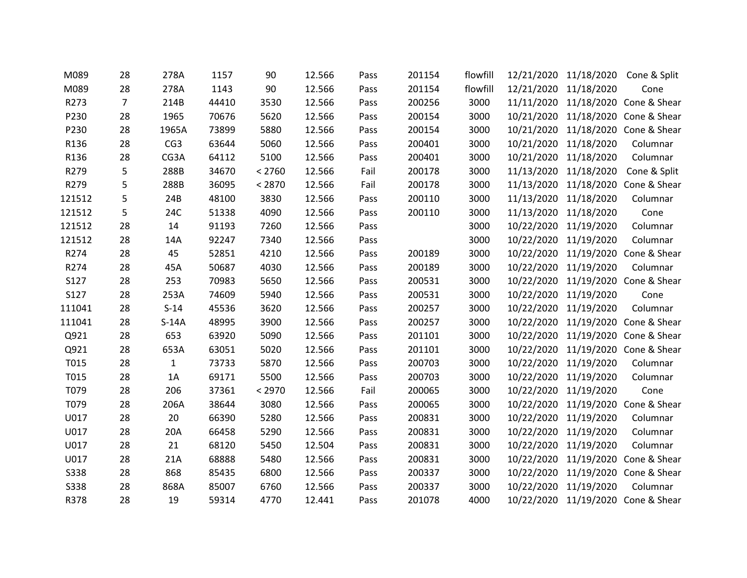| M089        | 28             | 278A         | 1157  | 90     | 12.566 | Pass | 201154 | flowfill |            | 12/21/2020 11/18/2020 | Cone & Split                       |
|-------------|----------------|--------------|-------|--------|--------|------|--------|----------|------------|-----------------------|------------------------------------|
| M089        | 28             | 278A         | 1143  | 90     | 12.566 | Pass | 201154 | flowfill | 12/21/2020 | 11/18/2020            | Cone                               |
| R273        | $\overline{7}$ | 214B         | 44410 | 3530   | 12.566 | Pass | 200256 | 3000     |            |                       | 11/11/2020 11/18/2020 Cone & Shear |
| P230        | 28             | 1965         | 70676 | 5620   | 12.566 | Pass | 200154 | 3000     | 10/21/2020 |                       | 11/18/2020 Cone & Shear            |
| P230        | 28             | 1965A        | 73899 | 5880   | 12.566 | Pass | 200154 | 3000     | 10/21/2020 |                       | 11/18/2020 Cone & Shear            |
| R136        | 28             | CG3          | 63644 | 5060   | 12.566 | Pass | 200401 | 3000     | 10/21/2020 | 11/18/2020            | Columnar                           |
| R136        | 28             | CG3A         | 64112 | 5100   | 12.566 | Pass | 200401 | 3000     | 10/21/2020 | 11/18/2020            | Columnar                           |
| R279        | 5              | 288B         | 34670 | < 2760 | 12.566 | Fail | 200178 | 3000     | 11/13/2020 | 11/18/2020            | Cone & Split                       |
| R279        | 5              | 288B         | 36095 | < 2870 | 12.566 | Fail | 200178 | 3000     |            |                       | 11/13/2020 11/18/2020 Cone & Shear |
| 121512      | 5              | 24B          | 48100 | 3830   | 12.566 | Pass | 200110 | 3000     | 11/13/2020 | 11/18/2020            | Columnar                           |
| 121512      | 5              | 24C          | 51338 | 4090   | 12.566 | Pass | 200110 | 3000     | 11/13/2020 | 11/18/2020            | Cone                               |
| 121512      | 28             | 14           | 91193 | 7260   | 12.566 | Pass |        | 3000     |            | 10/22/2020 11/19/2020 | Columnar                           |
| 121512      | 28             | 14A          | 92247 | 7340   | 12.566 | Pass |        | 3000     | 10/22/2020 | 11/19/2020            | Columnar                           |
| R274        | 28             | 45           | 52851 | 4210   | 12.566 | Pass | 200189 | 3000     |            |                       | 10/22/2020 11/19/2020 Cone & Shear |
| R274        | 28             | 45A          | 50687 | 4030   | 12.566 | Pass | 200189 | 3000     |            | 10/22/2020 11/19/2020 | Columnar                           |
| S127        | 28             | 253          | 70983 | 5650   | 12.566 | Pass | 200531 | 3000     | 10/22/2020 | 11/19/2020            | Cone & Shear                       |
| S127        | 28             | 253A         | 74609 | 5940   | 12.566 | Pass | 200531 | 3000     | 10/22/2020 | 11/19/2020            | Cone                               |
| 111041      | 28             | $S-14$       | 45536 | 3620   | 12.566 | Pass | 200257 | 3000     |            | 10/22/2020 11/19/2020 | Columnar                           |
| 111041      | 28             | $S-14A$      | 48995 | 3900   | 12.566 | Pass | 200257 | 3000     | 10/22/2020 |                       | 11/19/2020 Cone & Shear            |
| Q921        | 28             | 653          | 63920 | 5090   | 12.566 | Pass | 201101 | 3000     |            |                       | 10/22/2020 11/19/2020 Cone & Shear |
| Q921        | 28             | 653A         | 63051 | 5020   | 12.566 | Pass | 201101 | 3000     | 10/22/2020 |                       | 11/19/2020 Cone & Shear            |
| T015        | 28             | $\mathbf{1}$ | 73733 | 5870   | 12.566 | Pass | 200703 | 3000     | 10/22/2020 | 11/19/2020            | Columnar                           |
| T015        | 28             | 1A           | 69171 | 5500   | 12.566 | Pass | 200703 | 3000     | 10/22/2020 | 11/19/2020            | Columnar                           |
| T079        | 28             | 206          | 37361 | < 2970 | 12.566 | Fail | 200065 | 3000     | 10/22/2020 | 11/19/2020            | Cone                               |
| T079        | 28             | 206A         | 38644 | 3080   | 12.566 | Pass | 200065 | 3000     | 10/22/2020 |                       | 11/19/2020 Cone & Shear            |
| U017        | 28             | 20           | 66390 | 5280   | 12.566 | Pass | 200831 | 3000     |            | 10/22/2020 11/19/2020 | Columnar                           |
| U017        | 28             | 20A          | 66458 | 5290   | 12.566 | Pass | 200831 | 3000     | 10/22/2020 | 11/19/2020            | Columnar                           |
| U017        | 28             | 21           | 68120 | 5450   | 12.504 | Pass | 200831 | 3000     | 10/22/2020 | 11/19/2020            | Columnar                           |
| U017        | 28             | 21A          | 68888 | 5480   | 12.566 | Pass | 200831 | 3000     | 10/22/2020 |                       | 11/19/2020 Cone & Shear            |
| <b>S338</b> | 28             | 868          | 85435 | 6800   | 12.566 | Pass | 200337 | 3000     | 10/22/2020 |                       | 11/19/2020 Cone & Shear            |
| S338        | 28             | 868A         | 85007 | 6760   | 12.566 | Pass | 200337 | 3000     | 10/22/2020 | 11/19/2020            | Columnar                           |
| R378        | 28             | 19           | 59314 | 4770   | 12.441 | Pass | 201078 | 4000     |            |                       | 10/22/2020 11/19/2020 Cone & Shear |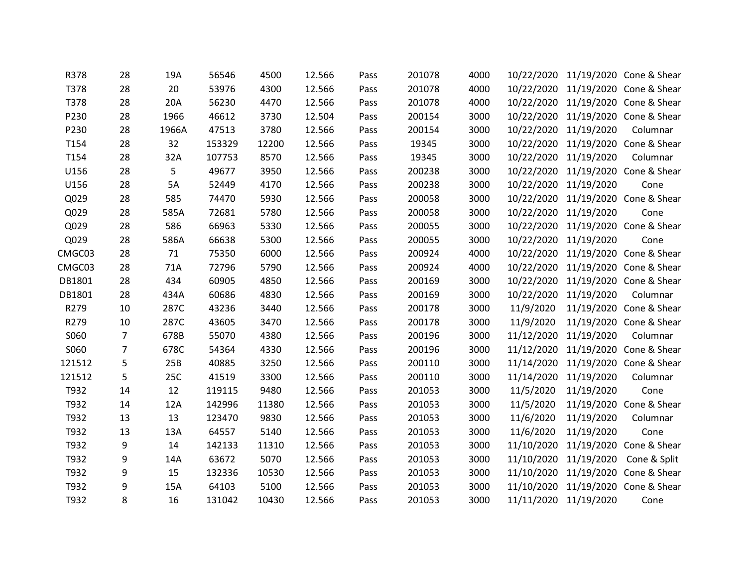| R378   | 28             | 19A   | 56546  | 4500  | 12.566 | Pass | 201078 | 4000 |                       |                       | 10/22/2020 11/19/2020 Cone & Shear |
|--------|----------------|-------|--------|-------|--------|------|--------|------|-----------------------|-----------------------|------------------------------------|
| T378   | 28             | 20    | 53976  | 4300  | 12.566 | Pass | 201078 | 4000 |                       |                       | 10/22/2020 11/19/2020 Cone & Shear |
| T378   | 28             | 20A   | 56230  | 4470  | 12.566 | Pass | 201078 | 4000 |                       |                       | 10/22/2020 11/19/2020 Cone & Shear |
| P230   | 28             | 1966  | 46612  | 3730  | 12.504 | Pass | 200154 | 3000 |                       |                       | 10/22/2020 11/19/2020 Cone & Shear |
| P230   | 28             | 1966A | 47513  | 3780  | 12.566 | Pass | 200154 | 3000 | 10/22/2020            | 11/19/2020            | Columnar                           |
| T154   | 28             | 32    | 153329 | 12200 | 12.566 | Pass | 19345  | 3000 |                       |                       | 10/22/2020 11/19/2020 Cone & Shear |
| T154   | 28             | 32A   | 107753 | 8570  | 12.566 | Pass | 19345  | 3000 |                       | 10/22/2020 11/19/2020 | Columnar                           |
| U156   | 28             | 5     | 49677  | 3950  | 12.566 | Pass | 200238 | 3000 |                       |                       | 10/22/2020 11/19/2020 Cone & Shear |
| U156   | 28             | 5A    | 52449  | 4170  | 12.566 | Pass | 200238 | 3000 |                       | 10/22/2020 11/19/2020 | Cone                               |
| Q029   | 28             | 585   | 74470  | 5930  | 12.566 | Pass | 200058 | 3000 | 10/22/2020            |                       | 11/19/2020 Cone & Shear            |
| Q029   | 28             | 585A  | 72681  | 5780  | 12.566 | Pass | 200058 | 3000 |                       | 10/22/2020 11/19/2020 | Cone                               |
| Q029   | 28             | 586   | 66963  | 5330  | 12.566 | Pass | 200055 | 3000 |                       |                       | 10/22/2020 11/19/2020 Cone & Shear |
| Q029   | 28             | 586A  | 66638  | 5300  | 12.566 | Pass | 200055 | 3000 | 10/22/2020            | 11/19/2020            | Cone                               |
| CMGC03 | 28             | 71    | 75350  | 6000  | 12.566 | Pass | 200924 | 4000 |                       |                       | 10/22/2020 11/19/2020 Cone & Shear |
| CMGC03 | 28             | 71A   | 72796  | 5790  | 12.566 | Pass | 200924 | 4000 |                       |                       | 10/22/2020 11/19/2020 Cone & Shear |
| DB1801 | 28             | 434   | 60905  | 4850  | 12.566 | Pass | 200169 | 3000 | 10/22/2020            |                       | 11/19/2020 Cone & Shear            |
| DB1801 | 28             | 434A  | 60686  | 4830  | 12.566 | Pass | 200169 | 3000 |                       | 10/22/2020 11/19/2020 | Columnar                           |
| R279   | 10             | 287C  | 43236  | 3440  | 12.566 | Pass | 200178 | 3000 | 11/9/2020             |                       | 11/19/2020 Cone & Shear            |
| R279   | 10             | 287C  | 43605  | 3470  | 12.566 | Pass | 200178 | 3000 | 11/9/2020             |                       | 11/19/2020 Cone & Shear            |
| S060   | $\overline{7}$ | 678B  | 55070  | 4380  | 12.566 | Pass | 200196 | 3000 |                       | 11/12/2020 11/19/2020 | Columnar                           |
| S060   | $\overline{7}$ | 678C  | 54364  | 4330  | 12.566 | Pass | 200196 | 3000 |                       |                       | 11/12/2020 11/19/2020 Cone & Shear |
| 121512 | 5              | 25B   | 40885  | 3250  | 12.566 | Pass | 200110 | 3000 | 11/14/2020            |                       | 11/19/2020 Cone & Shear            |
| 121512 | 5              | 25C   | 41519  | 3300  | 12.566 | Pass | 200110 | 3000 |                       | 11/14/2020 11/19/2020 | Columnar                           |
| T932   | 14             | 12    | 119115 | 9480  | 12.566 | Pass | 201053 | 3000 | 11/5/2020             | 11/19/2020            | Cone                               |
| T932   | 14             | 12A   | 142996 | 11380 | 12.566 | Pass | 201053 | 3000 | 11/5/2020             |                       | 11/19/2020 Cone & Shear            |
| T932   | 13             | 13    | 123470 | 9830  | 12.566 | Pass | 201053 | 3000 | 11/6/2020             | 11/19/2020            | Columnar                           |
| T932   | 13             | 13A   | 64557  | 5140  | 12.566 | Pass | 201053 | 3000 | 11/6/2020             | 11/19/2020            | Cone                               |
| T932   | 9              | 14    | 142133 | 11310 | 12.566 | Pass | 201053 | 3000 | 11/10/2020            |                       | 11/19/2020 Cone & Shear            |
| T932   | 9              | 14A   | 63672  | 5070  | 12.566 | Pass | 201053 | 3000 |                       | 11/10/2020 11/19/2020 | Cone & Split                       |
| T932   | 9              | 15    | 132336 | 10530 | 12.566 | Pass | 201053 | 3000 | 11/10/2020            |                       | 11/19/2020 Cone & Shear            |
| T932   | 9              | 15A   | 64103  | 5100  | 12.566 | Pass | 201053 | 3000 | 11/10/2020            |                       | 11/19/2020 Cone & Shear            |
| T932   | 8              | 16    | 131042 | 10430 | 12.566 | Pass | 201053 | 3000 | 11/11/2020 11/19/2020 |                       | Cone                               |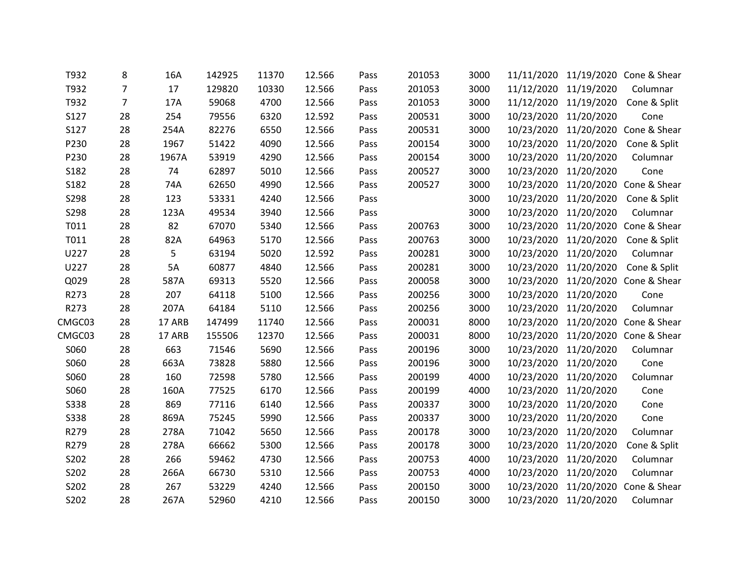| T932        | 8              | 16A    | 142925 | 11370 | 12.566 | Pass | 201053 | 3000 |                       |                       | 11/11/2020 11/19/2020 Cone & Shear |
|-------------|----------------|--------|--------|-------|--------|------|--------|------|-----------------------|-----------------------|------------------------------------|
| T932        | $\overline{7}$ | 17     | 129820 | 10330 | 12.566 | Pass | 201053 | 3000 | 11/12/2020 11/19/2020 |                       | Columnar                           |
| T932        | $\overline{7}$ | 17A    | 59068  | 4700  | 12.566 | Pass | 201053 | 3000 |                       | 11/12/2020 11/19/2020 | Cone & Split                       |
| S127        | 28             | 254    | 79556  | 6320  | 12.592 | Pass | 200531 | 3000 | 10/23/2020            | 11/20/2020            | Cone                               |
| S127        | 28             | 254A   | 82276  | 6550  | 12.566 | Pass | 200531 | 3000 | 10/23/2020            |                       | 11/20/2020 Cone & Shear            |
| P230        | 28             | 1967   | 51422  | 4090  | 12.566 | Pass | 200154 | 3000 |                       | 10/23/2020 11/20/2020 | Cone & Split                       |
| P230        | 28             | 1967A  | 53919  | 4290  | 12.566 | Pass | 200154 | 3000 | 10/23/2020            | 11/20/2020            | Columnar                           |
| S182        | 28             | 74     | 62897  | 5010  | 12.566 | Pass | 200527 | 3000 | 10/23/2020            | 11/20/2020            | Cone                               |
| S182        | 28             | 74A    | 62650  | 4990  | 12.566 | Pass | 200527 | 3000 |                       |                       | 10/23/2020 11/20/2020 Cone & Shear |
| S298        | 28             | 123    | 53331  | 4240  | 12.566 | Pass |        | 3000 | 10/23/2020            | 11/20/2020            | Cone & Split                       |
| S298        | 28             | 123A   | 49534  | 3940  | 12.566 | Pass |        | 3000 | 10/23/2020            | 11/20/2020            | Columnar                           |
| T011        | 28             | 82     | 67070  | 5340  | 12.566 | Pass | 200763 | 3000 |                       |                       | 10/23/2020 11/20/2020 Cone & Shear |
| T011        | 28             | 82A    | 64963  | 5170  | 12.566 | Pass | 200763 | 3000 | 10/23/2020            | 11/20/2020            | Cone & Split                       |
| U227        | 28             | 5      | 63194  | 5020  | 12.592 | Pass | 200281 | 3000 | 10/23/2020            | 11/20/2020            | Columnar                           |
| U227        | 28             | 5A     | 60877  | 4840  | 12.566 | Pass | 200281 | 3000 |                       | 10/23/2020 11/20/2020 | Cone & Split                       |
| Q029        | 28             | 587A   | 69313  | 5520  | 12.566 | Pass | 200058 | 3000 | 10/23/2020            | 11/20/2020            | Cone & Shear                       |
| R273        | 28             | 207    | 64118  | 5100  | 12.566 | Pass | 200256 | 3000 | 10/23/2020            | 11/20/2020            | Cone                               |
| R273        | 28             | 207A   | 64184  | 5110  | 12.566 | Pass | 200256 | 3000 | 10/23/2020 11/20/2020 |                       | Columnar                           |
| CMGC03      | 28             | 17 ARB | 147499 | 11740 | 12.566 | Pass | 200031 | 8000 | 10/23/2020            |                       | 11/20/2020 Cone & Shear            |
| CMGC03      | 28             | 17 ARB | 155506 | 12370 | 12.566 | Pass | 200031 | 8000 |                       |                       | 10/23/2020 11/20/2020 Cone & Shear |
| S060        | 28             | 663    | 71546  | 5690  | 12.566 | Pass | 200196 | 3000 | 10/23/2020            | 11/20/2020            | Columnar                           |
| S060        | 28             | 663A   | 73828  | 5880  | 12.566 | Pass | 200196 | 3000 | 10/23/2020            | 11/20/2020            | Cone                               |
| S060        | 28             | 160    | 72598  | 5780  | 12.566 | Pass | 200199 | 4000 | 10/23/2020            | 11/20/2020            | Columnar                           |
| S060        | 28             | 160A   | 77525  | 6170  | 12.566 | Pass | 200199 | 4000 | 10/23/2020 11/20/2020 |                       | Cone                               |
| <b>S338</b> | 28             | 869    | 77116  | 6140  | 12.566 | Pass | 200337 | 3000 | 10/23/2020            | 11/20/2020            | Cone                               |
| S338        | 28             | 869A   | 75245  | 5990  | 12.566 | Pass | 200337 | 3000 | 10/23/2020 11/20/2020 |                       | Cone                               |
| R279        | 28             | 278A   | 71042  | 5650  | 12.566 | Pass | 200178 | 3000 | 10/23/2020            | 11/20/2020            | Columnar                           |
| R279        | 28             | 278A   | 66662  | 5300  | 12.566 | Pass | 200178 | 3000 | 10/23/2020            | 11/20/2020            | Cone & Split                       |
| S202        | 28             | 266    | 59462  | 4730  | 12.566 | Pass | 200753 | 4000 | 10/23/2020            | 11/20/2020            | Columnar                           |
| S202        | 28             | 266A   | 66730  | 5310  | 12.566 | Pass | 200753 | 4000 | 10/23/2020            | 11/20/2020            | Columnar                           |
| S202        | 28             | 267    | 53229  | 4240  | 12.566 | Pass | 200150 | 3000 | 10/23/2020            | 11/20/2020            | Cone & Shear                       |
| S202        | 28             | 267A   | 52960  | 4210  | 12.566 | Pass | 200150 | 3000 | 10/23/2020 11/20/2020 |                       | Columnar                           |